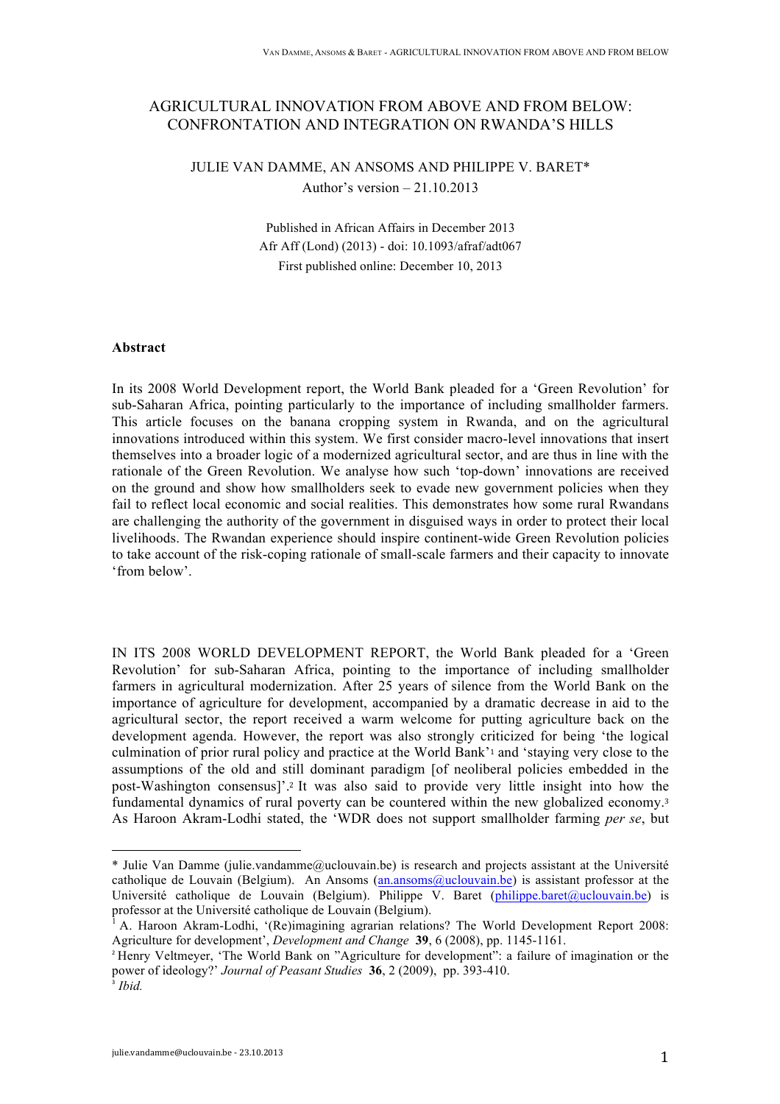# AGRICULTURAL INNOVATION FROM ABOVE AND FROM BELOW: CONFRONTATION AND INTEGRATION ON RWANDA'S HILLS

# JULIE VAN DAMME, AN ANSOMS AND PHILIPPE V. BARET\* Author's version – 21.10.2013

Published in African Affairs in December 2013 Afr Aff (Lond) (2013) - doi: 10.1093/afraf/adt067 First published online: December 10, 2013

### **Abstract**

In its 2008 World Development report, the World Bank pleaded for a 'Green Revolution' for sub-Saharan Africa, pointing particularly to the importance of including smallholder farmers. This article focuses on the banana cropping system in Rwanda, and on the agricultural innovations introduced within this system. We first consider macro-level innovations that insert themselves into a broader logic of a modernized agricultural sector, and are thus in line with the rationale of the Green Revolution. We analyse how such 'top-down' innovations are received on the ground and show how smallholders seek to evade new government policies when they fail to reflect local economic and social realities. This demonstrates how some rural Rwandans are challenging the authority of the government in disguised ways in order to protect their local livelihoods. The Rwandan experience should inspire continent-wide Green Revolution policies to take account of the risk-coping rationale of small-scale farmers and their capacity to innovate 'from below'.

IN ITS 2008 WORLD DEVELOPMENT REPORT, the World Bank pleaded for a 'Green Revolution' for sub-Saharan Africa, pointing to the importance of including smallholder farmers in agricultural modernization. After 25 years of silence from the World Bank on the importance of agriculture for development, accompanied by a dramatic decrease in aid to the agricultural sector, the report received a warm welcome for putting agriculture back on the development agenda. However, the report was also strongly criticized for being 'the logical culmination of prior rural policy and practice at the World Bank'<sup>1</sup> and 'staying very close to the assumptions of the old and still dominant paradigm [of neoliberal policies embedded in the post-Washington consensus]'.<sup>2</sup> It was also said to provide very little insight into how the fundamental dynamics of rural poverty can be countered within the new globalized economy.<sup>3</sup> As Haroon Akram-Lodhi stated, the 'WDR does not support smallholder farming *per se*, but

<sup>\*</sup> Julie Van Damme (julie.vandamme@uclouvain.be) is research and projects assistant at the Université catholique de Louvain (Belgium). An Ansoms (an.ansoms@uclouvain.be) is assistant professor at the Université catholique de Louvain (Belgium). Philippe  $\overline{V}$ . Baret (philippe.baret@uclouvain.be) is professor at the Université catholique de Louvain (Belgium).

<sup>1</sup> A. Haroon Akram-Lodhi, '(Re)imagining agrarian relations? The World Development Report 2008: Agriculture for development', *Development and Change* **39**, 6 (2008), pp. 1145-1161.

<sup>2</sup> Henry Veltmeyer, 'The World Bank on "Agriculture for development": a failure of imagination or the power of ideology?' *Journal of Peasant Studies* **36**, 2 (2009), pp. 393-410. <sup>3</sup> *Ibid.*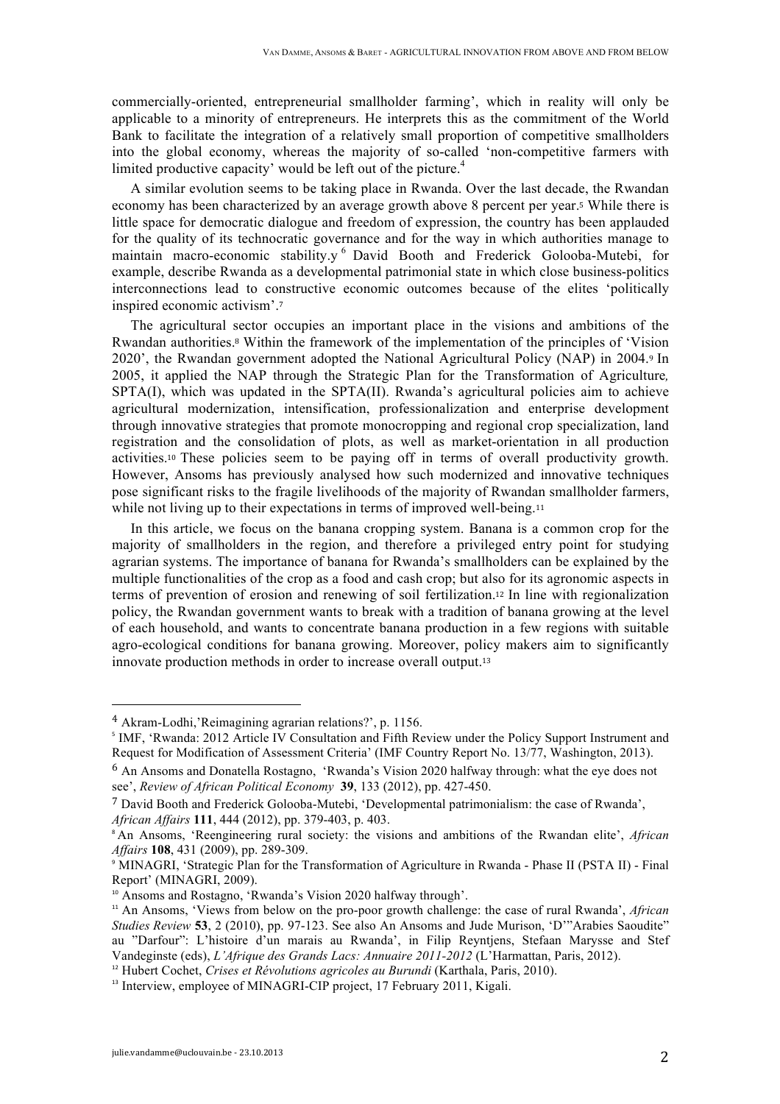commercially-oriented, entrepreneurial smallholder farming', which in reality will only be applicable to a minority of entrepreneurs. He interprets this as the commitment of the World Bank to facilitate the integration of a relatively small proportion of competitive smallholders into the global economy, whereas the majority of so-called 'non-competitive farmers with limited productive capacity' would be left out of the picture.<sup>4</sup>

A similar evolution seems to be taking place in Rwanda. Over the last decade, the Rwandan economy has been characterized by an average growth above 8 percent per year.<sup>5</sup> While there is little space for democratic dialogue and freedom of expression, the country has been applauded for the quality of its technocratic governance and for the way in which authorities manage to maintain macro-economic stability.y <sup>6</sup> David Booth and Frederick Golooba-Mutebi, for example, describe Rwanda as a developmental patrimonial state in which close business-politics interconnections lead to constructive economic outcomes because of the elites 'politically inspired economic activism'.<sup>7</sup>

The agricultural sector occupies an important place in the visions and ambitions of the Rwandan authorities.<sup>8</sup> Within the framework of the implementation of the principles of 'Vision 2020', the Rwandan government adopted the National Agricultural Policy (NAP) in 2004.<sup>9</sup> In 2005, it applied the NAP through the Strategic Plan for the Transformation of Agriculture*,* SPTA(I), which was updated in the SPTA(II). Rwanda's agricultural policies aim to achieve agricultural modernization, intensification, professionalization and enterprise development through innovative strategies that promote monocropping and regional crop specialization, land registration and the consolidation of plots, as well as market-orientation in all production activities.<sup>10</sup> These policies seem to be paying off in terms of overall productivity growth. However, Ansoms has previously analysed how such modernized and innovative techniques pose significant risks to the fragile livelihoods of the majority of Rwandan smallholder farmers, while not living up to their expectations in terms of improved well-being.<sup>11</sup>

In this article, we focus on the banana cropping system. Banana is a common crop for the majority of smallholders in the region, and therefore a privileged entry point for studying agrarian systems. The importance of banana for Rwanda's smallholders can be explained by the multiple functionalities of the crop as a food and cash crop; but also for its agronomic aspects in terms of prevention of erosion and renewing of soil fertilization.<sup>12</sup> In line with regionalization policy, the Rwandan government wants to break with a tradition of banana growing at the level of each household, and wants to concentrate banana production in a few regions with suitable agro-ecological conditions for banana growing. Moreover, policy makers aim to significantly innovate production methods in order to increase overall output.<sup>13</sup>

<sup>4</sup> Akram-Lodhi,'Reimagining agrarian relations?', p. 1156.

<sup>&</sup>lt;sup>5</sup> IMF, 'Rwanda: 2012 Article IV Consultation and Fifth Review under the Policy Support Instrument and Request for Modification of Assessment Criteria' (IMF Country Report No. 13/77, Washington, 2013).

<sup>&</sup>lt;sup>6</sup> An Ansoms and Donatella Rostagno, 'Rwanda's Vision 2020 halfway through: what the eye does not see', *Review of African Political Economy* **39**, 133 (2012), pp. 427-450.

<sup>7</sup> David Booth and Frederick Golooba-Mutebi, 'Developmental patrimonialism: the case of Rwanda', *African Affairs* **111**, 444 (2012), pp. 379-403, p. 403.

<sup>8</sup> An Ansoms, 'Reengineering rural society: the visions and ambitions of the Rwandan elite', *African Affairs* **108**, 431 (2009), pp. 289-309.

<sup>9</sup> MINAGRI, 'Strategic Plan for the Transformation of Agriculture in Rwanda - Phase II (PSTA II) - Final Report' (MINAGRI, 2009).

<sup>&</sup>lt;sup>10</sup> Ansoms and Rostagno, 'Rwanda's Vision 2020 halfway through'.

<sup>&</sup>lt;sup>11</sup> An Ansoms, 'Views from below on the pro-poor growth challenge: the case of rural Rwanda', *African Studies Review* **53**, 2 (2010), pp. 97-123. See also An Ansoms and Jude Murison, 'D'"Arabies Saoudite" au "Darfour": L'histoire d'un marais au Rwanda', in Filip Reyntjens, Stefaan Marysse and Stef Vandeginste (eds), *L'Afrique des Grands Lacs: Annuaire 2011-2012* (L'Harmattan, Paris, 2012).

<sup>&</sup>lt;sup>12</sup> Hubert Cochet, *Crises et Révolutions agricoles au Burundi* (Karthala, Paris, 2010).

<sup>&</sup>lt;sup>13</sup> Interview, employee of MINAGRI-CIP project, 17 February 2011, Kigali.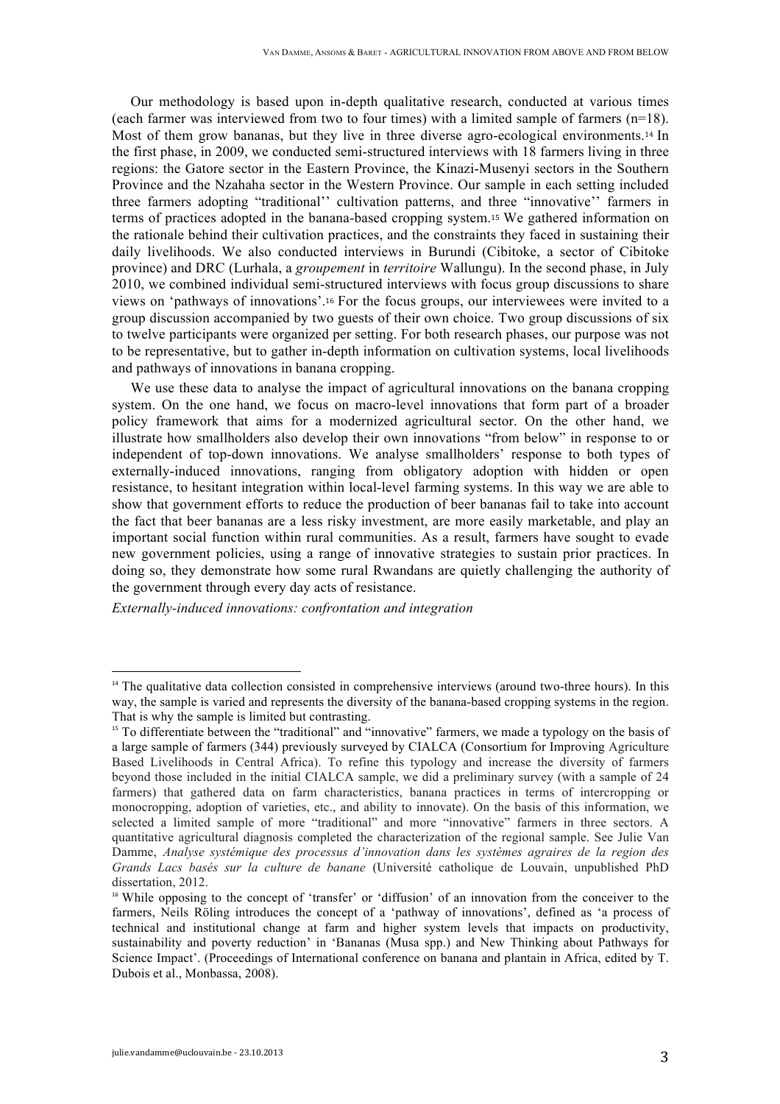Our methodology is based upon in-depth qualitative research, conducted at various times (each farmer was interviewed from two to four times) with a limited sample of farmers (n=18). Most of them grow bananas, but they live in three diverse agro-ecological environments.<sup>14</sup> In the first phase, in 2009, we conducted semi-structured interviews with 18 farmers living in three regions: the Gatore sector in the Eastern Province, the Kinazi-Musenyi sectors in the Southern Province and the Nzahaha sector in the Western Province. Our sample in each setting included three farmers adopting "traditional'' cultivation patterns, and three "innovative'' farmers in terms of practices adopted in the banana-based cropping system.<sup>15</sup> We gathered information on the rationale behind their cultivation practices, and the constraints they faced in sustaining their daily livelihoods. We also conducted interviews in Burundi (Cibitoke, a sector of Cibitoke province) and DRC (Lurhala, a *groupement* in *territoire* Wallungu). In the second phase, in July 2010, we combined individual semi-structured interviews with focus group discussions to share views on 'pathways of innovations'.<sup>16</sup> For the focus groups, our interviewees were invited to a group discussion accompanied by two guests of their own choice. Two group discussions of six to twelve participants were organized per setting. For both research phases, our purpose was not to be representative, but to gather in-depth information on cultivation systems, local livelihoods and pathways of innovations in banana cropping.

We use these data to analyse the impact of agricultural innovations on the banana cropping system. On the one hand, we focus on macro-level innovations that form part of a broader policy framework that aims for a modernized agricultural sector. On the other hand, we illustrate how smallholders also develop their own innovations "from below" in response to or independent of top-down innovations. We analyse smallholders' response to both types of externally-induced innovations, ranging from obligatory adoption with hidden or open resistance, to hesitant integration within local-level farming systems. In this way we are able to show that government efforts to reduce the production of beer bananas fail to take into account the fact that beer bananas are a less risky investment, are more easily marketable, and play an important social function within rural communities. As a result, farmers have sought to evade new government policies, using a range of innovative strategies to sustain prior practices. In doing so, they demonstrate how some rural Rwandans are quietly challenging the authority of the government through every day acts of resistance.

*Externally-induced innovations: confrontation and integration*

<sup>&</sup>lt;sup>14</sup> The qualitative data collection consisted in comprehensive interviews (around two-three hours). In this way, the sample is varied and represents the diversity of the banana-based cropping systems in the region. That is why the sample is limited but contrasting.

<sup>&</sup>lt;sup>15</sup> To differentiate between the "traditional" and "innovative" farmers, we made a typology on the basis of a large sample of farmers (344) previously surveyed by CIALCA (Consortium for Improving Agriculture Based Livelihoods in Central Africa). To refine this typology and increase the diversity of farmers beyond those included in the initial CIALCA sample, we did a preliminary survey (with a sample of 24 farmers) that gathered data on farm characteristics, banana practices in terms of intercropping or monocropping, adoption of varieties, etc., and ability to innovate). On the basis of this information, we selected a limited sample of more "traditional" and more "innovative" farmers in three sectors. A quantitative agricultural diagnosis completed the characterization of the regional sample. See Julie Van Damme, *Analyse systémique des processus d'innovation dans les systèmes agraires de la region des Grands Lacs basés sur la culture de banane* (Université catholique de Louvain, unpublished PhD dissertation, 2012.

<sup>&</sup>lt;sup>16</sup> While opposing to the concept of 'transfer' or 'diffusion' of an innovation from the conceiver to the farmers. Neils Röling introduces the concept of a 'pathway of innovations', defined as 'a process of technical and institutional change at farm and higher system levels that impacts on productivity, sustainability and poverty reduction' in 'Bananas (Musa spp.) and New Thinking about Pathways for Science Impact'. (Proceedings of International conference on banana and plantain in Africa, edited by T. Dubois et al., Monbassa, 2008).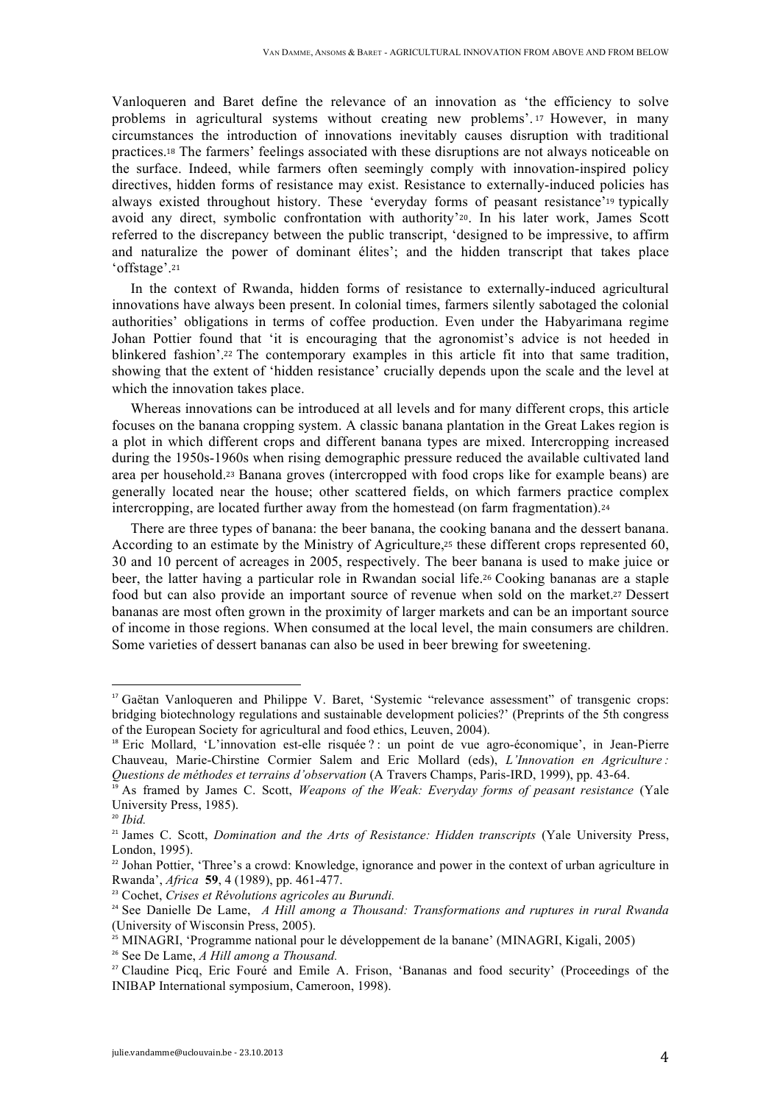Vanloqueren and Baret define the relevance of an innovation as 'the efficiency to solve problems in agricultural systems without creating new problems'. <sup>17</sup> However, in many circumstances the introduction of innovations inevitably causes disruption with traditional practices.<sup>18</sup> The farmers' feelings associated with these disruptions are not always noticeable on the surface. Indeed, while farmers often seemingly comply with innovation-inspired policy directives, hidden forms of resistance may exist. Resistance to externally-induced policies has always existed throughout history. These 'everyday forms of peasant resistance'<sup>19</sup> typically avoid any direct, symbolic confrontation with authority'20. In his later work, James Scott referred to the discrepancy between the public transcript, 'designed to be impressive, to affirm and naturalize the power of dominant élites'; and the hidden transcript that takes place 'offstage'.<sup>21</sup>

In the context of Rwanda, hidden forms of resistance to externally-induced agricultural innovations have always been present. In colonial times, farmers silently sabotaged the colonial authorities' obligations in terms of coffee production. Even under the Habyarimana regime Johan Pottier found that 'it is encouraging that the agronomist's advice is not heeded in blinkered fashion'.<sup>22</sup> The contemporary examples in this article fit into that same tradition, showing that the extent of 'hidden resistance' crucially depends upon the scale and the level at which the innovation takes place.

Whereas innovations can be introduced at all levels and for many different crops, this article focuses on the banana cropping system. A classic banana plantation in the Great Lakes region is a plot in which different crops and different banana types are mixed. Intercropping increased during the 1950s-1960s when rising demographic pressure reduced the available cultivated land area per household.<sup>23</sup> Banana groves (intercropped with food crops like for example beans) are generally located near the house; other scattered fields, on which farmers practice complex intercropping, are located further away from the homestead (on farm fragmentation).<sup>24</sup>

There are three types of banana: the beer banana, the cooking banana and the dessert banana. According to an estimate by the Ministry of Agriculture,<sup>25</sup> these different crops represented 60, 30 and 10 percent of acreages in 2005, respectively. The beer banana is used to make juice or beer, the latter having a particular role in Rwandan social life.<sup>26</sup> Cooking bananas are a staple food but can also provide an important source of revenue when sold on the market.<sup>27</sup> Dessert bananas are most often grown in the proximity of larger markets and can be an important source of income in those regions. When consumed at the local level, the main consumers are children. Some varieties of dessert bananas can also be used in beer brewing for sweetening.

<sup>26</sup> See De Lame, *A Hill among a Thousand.*

<sup>&</sup>lt;sup>17</sup> Gaëtan Vanloqueren and Philippe V. Baret, 'Systemic "relevance assessment" of transgenic crops: bridging biotechnology regulations and sustainable development policies?' (Preprints of the 5th congress of the European Society for agricultural and food ethics, Leuven, 2004).

<sup>&</sup>lt;sup>18</sup> Eric Mollard, 'L'innovation est-elle risquée ? : un point de vue agro-économique', in Jean-Pierre Chauveau, Marie-Chirstine Cormier Salem and Eric Mollard (eds), *L'Innovation en Agriculture : Questions de méthodes et terrains d'observation* (A Travers Champs, Paris-IRD, 1999), pp. 43-64.

<sup>&</sup>lt;sup>19</sup> As framed by James C. Scott, *Weapons of the Weak: Everyday forms of peasant resistance* (Yale University Press, 1985).

<sup>20</sup> *Ibid.*

<sup>21</sup> James C. Scott, *Domination and the Arts of Resistance: Hidden transcripts* (Yale University Press, London, 1995).

<sup>&</sup>lt;sup>22</sup> Johan Pottier, 'Three's a crowd: Knowledge, ignorance and power in the context of urban agriculture in Rwanda', *Africa* **59**, 4 (1989), pp. 461-477.

<sup>23</sup> Cochet, *Crises et Révolutions agricoles au Burundi.*

<sup>24</sup> See Danielle De Lame, *A Hill among a Thousand: Transformations and ruptures in rural Rwanda* (University of Wisconsin Press, 2005).

<sup>&</sup>lt;sup>25</sup> MINAGRI, 'Programme national pour le développement de la banane' (MINAGRI, Kigali, 2005)

<sup>&</sup>lt;sup>27</sup> Claudine Picq, Eric Foure and Emile A. Frison, 'Bananas and food security' (Proceedings of the INIBAP International symposium, Cameroon, 1998).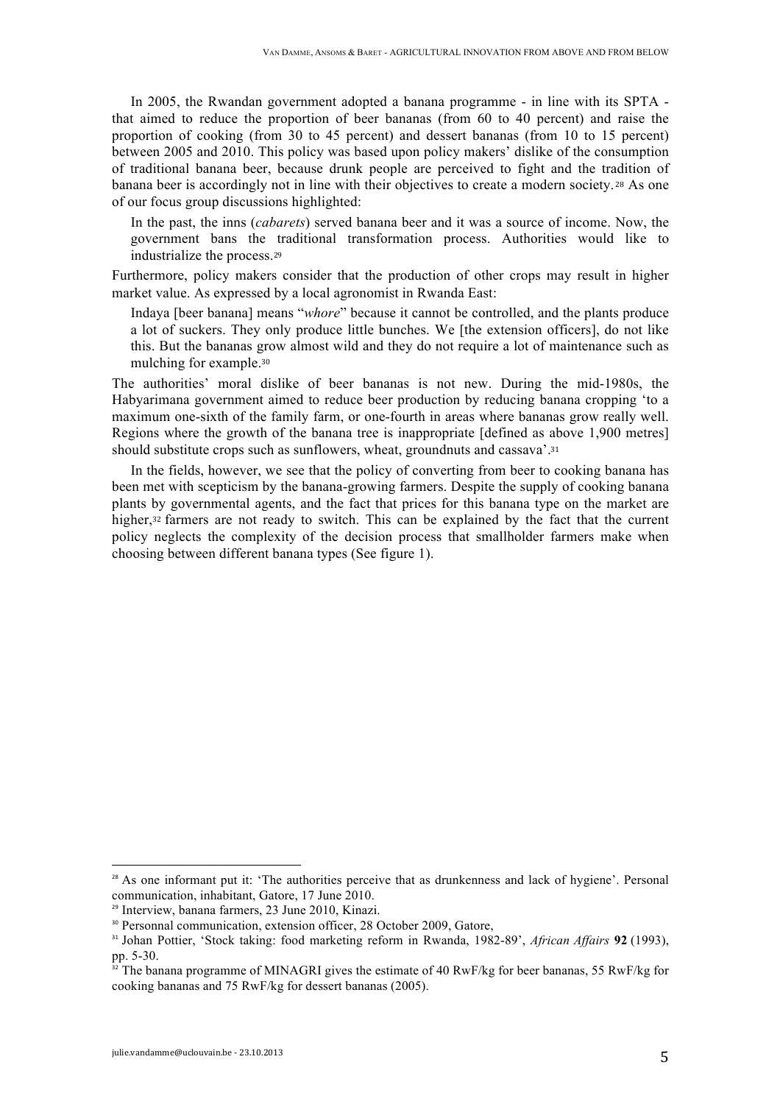In 2005, the Rwandan government adopted a banana programme - in line with its SPTA that aimed to reduce the proportion of beer bananas (from 60 to 40 percent) and raise the proportion of cooking (from 30 to 45 percent) and dessert bananas (from 10 to 15 percent) between 2005 and 2010. This policy was based upon policy makers' dislike of the consumption of traditional banana beer, because drunk people are perceived to fight and the tradition of banana beer is accordingly not in line with their objectives to create a modern society. <sup>28</sup> As one of our focus group discussions highlighted:

In the past, the inns (*cabarets*) served banana beer and it was a source of income. Now, the government bans the traditional transformation process. Authorities would like to industrialize the process.<sup>29</sup>

Furthermore, policy makers consider that the production of other crops may result in higher market value. As expressed by a local agronomist in Rwanda East:

Indaya [beer banana] means "*whore*" because it cannot be controlled, and the plants produce a lot of suckers. They only produce little bunches. We [the extension officers], do not like this. But the bananas grow almost wild and they do not require a lot of maintenance such as mulching for example.<sup>30</sup>

The authorities' moral dislike of beer bananas is not new. During the mid-1980s, the Habyarimana government aimed to reduce beer production by reducing banana cropping 'to a maximum one-sixth of the family farm, or one-fourth in areas where bananas grow really well. Regions where the growth of the banana tree is inappropriate [defined as above 1,900 metres] should substitute crops such as sunflowers, wheat, groundnuts and cassava'.<sup>31</sup>

In the fields, however, we see that the policy of converting from beer to cooking banana has been met with scepticism by the banana-growing farmers. Despite the supply of cooking banana plants by governmental agents, and the fact that prices for this banana type on the market are higher,<sup>32</sup> farmers are not ready to switch. This can be explained by the fact that the current policy neglects the complexity of the decision process that smallholder farmers make when choosing between different banana types (See figure 1).

 $28$  As one informant put it: 'The authorities perceive that as drunkenness and lack of hygiene'. Personal communication, inhabitant, Gatore, 17 June 2010.

<sup>29</sup> Interview, banana farmers, 23 June 2010, Kinazi.

<sup>&</sup>lt;sup>30</sup> Personnal communication, extension officer, 28 October 2009, Gatore,

<sup>31</sup> Johan Pottier, 'Stock taking: food marketing reform in Rwanda, 1982-89', *African Affairs* **92** (1993), pp.  $5-30$ .

The banana programme of MINAGRI gives the estimate of 40 RwF/kg for beer bananas, 55 RwF/kg for cooking bananas and 75 RwF/kg for dessert bananas (2005).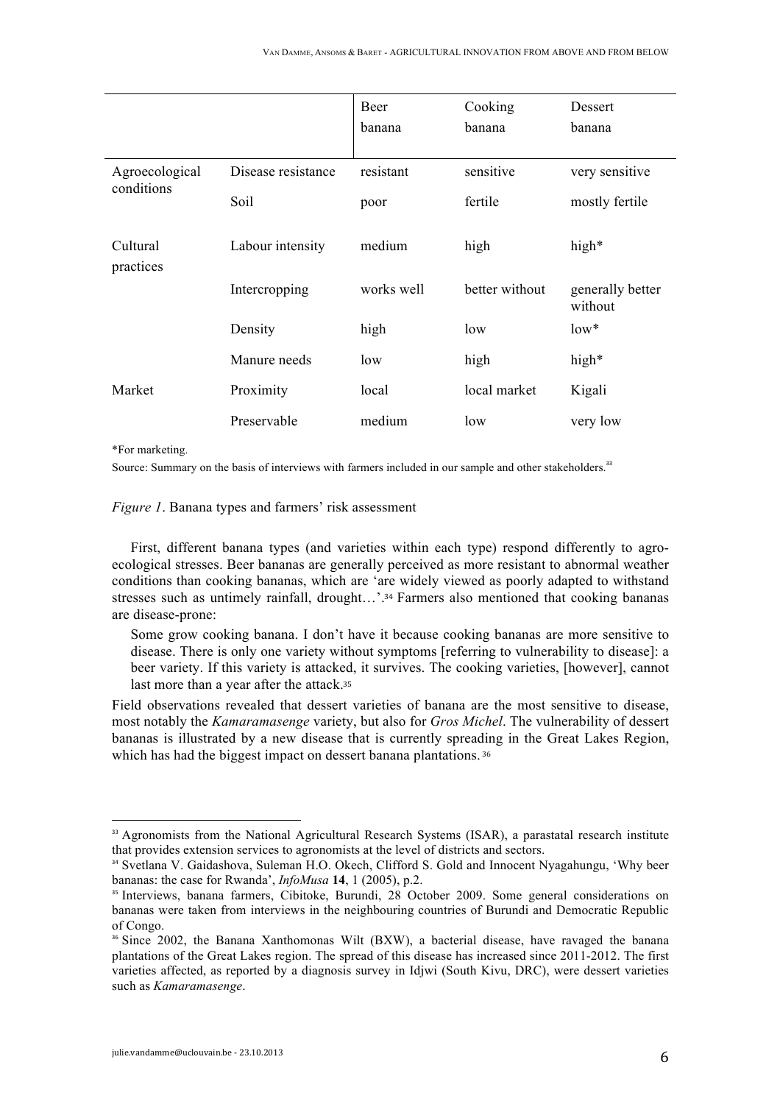|                              |                    | Beer       | Cooking        | Dessert                     |
|------------------------------|--------------------|------------|----------------|-----------------------------|
|                              |                    | banana     | banana         | banana                      |
|                              |                    |            |                |                             |
| Agroecological<br>conditions | Disease resistance | resistant  | sensitive      | very sensitive              |
|                              | Soil               | poor       | fertile        | mostly fertile              |
| Cultural<br>practices        | Labour intensity   | medium     | high           | high <sup>*</sup>           |
|                              | Intercropping      | works well | better without | generally better<br>without |
|                              | Density            | high       | low            | $low*$                      |
|                              | Manure needs       | low        | high           | high*                       |
| Market                       | Proximity          | local      | local market   | Kigali                      |
|                              | Preservable        | medium     | low            | very low                    |

\*For marketing.

Source: Summary on the basis of interviews with farmers included in our sample and other stakeholders.<sup>33</sup>

*Figure 1*. Banana types and farmers' risk assessment

First, different banana types (and varieties within each type) respond differently to agroecological stresses. Beer bananas are generally perceived as more resistant to abnormal weather conditions than cooking bananas, which are 'are widely viewed as poorly adapted to withstand stresses such as untimely rainfall, drought...'.<sup>34</sup> Farmers also mentioned that cooking bananas are disease-prone:

Some grow cooking banana. I don't have it because cooking bananas are more sensitive to disease. There is only one variety without symptoms [referring to vulnerability to disease]: a beer variety. If this variety is attacked, it survives. The cooking varieties, [however], cannot last more than a year after the attack.<sup>35</sup>

Field observations revealed that dessert varieties of banana are the most sensitive to disease, most notably the *Kamaramasenge* variety, but also for *Gros Michel*. The vulnerability of dessert bananas is illustrated by a new disease that is currently spreading in the Great Lakes Region, which has had the biggest impact on dessert banana plantations. 36

<sup>&</sup>lt;sup>33</sup> Agronomists from the National Agricultural Research Systems (ISAR), a parastatal research institute that provides extension services to agronomists at the level of districts and sectors.

<sup>&</sup>lt;sup>34</sup> Svetlana V. Gaidashova, Suleman H.O. Okech, Clifford S. Gold and Innocent Nyagahungu, 'Why beer bananas: the case for Rwanda', *InfoMusa* **14**, 1 (2005), p.2.

<sup>&</sup>lt;sup>35</sup> Interviews, banana farmers, Cibitoke, Burundi, 28 October 2009. Some general considerations on bananas were taken from interviews in the neighbouring countries of Burundi and Democratic Republic of Congo.

<sup>&</sup>lt;sup>36</sup> Since 2002, the Banana Xanthomonas Wilt (BXW), a bacterial disease, have ravaged the banana plantations of the Great Lakes region. The spread of this disease has increased since 2011-2012. The first varieties affected, as reported by a diagnosis survey in Idjwi (South Kivu, DRC), were dessert varieties such as *Kamaramasenge*.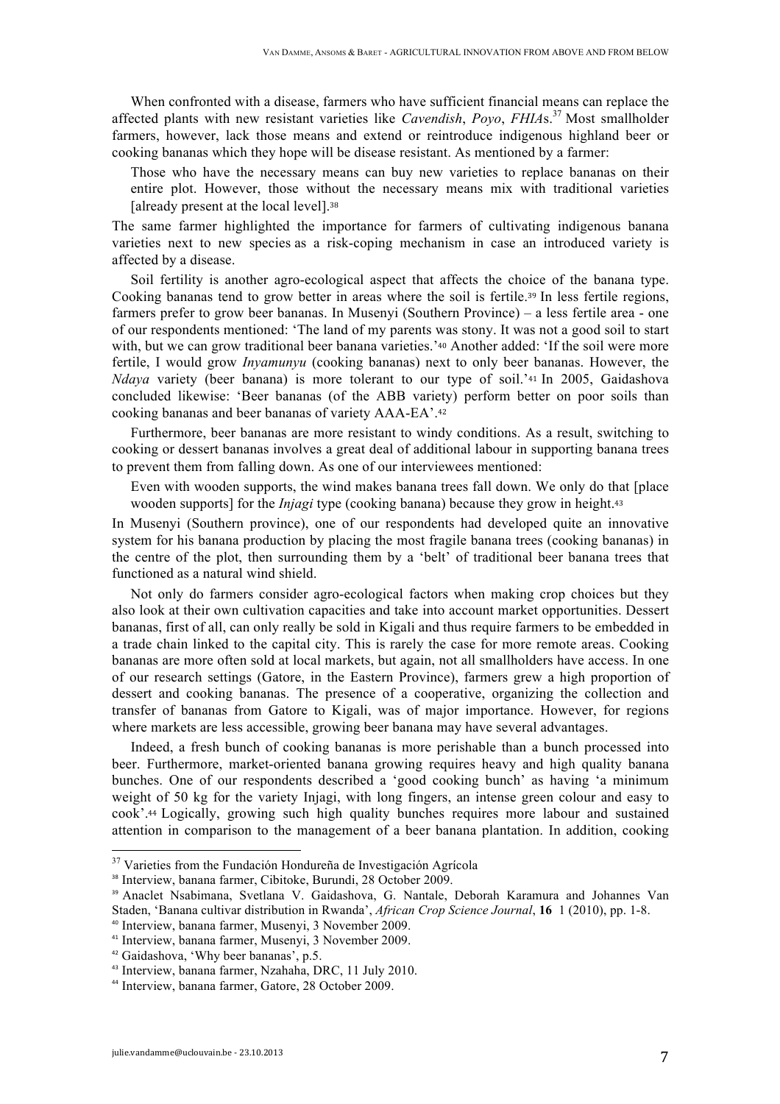When confronted with a disease, farmers who have sufficient financial means can replace the affected plants with new resistant varieties like *Cavendish*, *Poyo*, *FHIA*s. <sup>37</sup> Most smallholder farmers, however, lack those means and extend or reintroduce indigenous highland beer or cooking bananas which they hope will be disease resistant. As mentioned by a farmer:

Those who have the necessary means can buy new varieties to replace bananas on their entire plot. However, those without the necessary means mix with traditional varieties [already present at the local level].<sup>38</sup>

The same farmer highlighted the importance for farmers of cultivating indigenous banana varieties next to new species as a risk-coping mechanism in case an introduced variety is affected by a disease.

Soil fertility is another agro-ecological aspect that affects the choice of the banana type. Cooking bananas tend to grow better in areas where the soil is fertile.<sup>39</sup> In less fertile regions, farmers prefer to grow beer bananas. In Musenyi (Southern Province) – a less fertile area - one of our respondents mentioned: 'The land of my parents was stony. It was not a good soil to start with, but we can grow traditional beer banana varieties.'<sup>40</sup> Another added: 'If the soil were more fertile, I would grow *Inyamunyu* (cooking bananas) next to only beer bananas. However, the *Ndaya* variety (beer banana) is more tolerant to our type of soil.'<sup>41</sup> In 2005, Gaidashova concluded likewise: 'Beer bananas (of the ABB variety) perform better on poor soils than cooking bananas and beer bananas of variety AAA-EA'.<sup>42</sup>

Furthermore, beer bananas are more resistant to windy conditions. As a result, switching to cooking or dessert bananas involves a great deal of additional labour in supporting banana trees to prevent them from falling down. As one of our interviewees mentioned:

Even with wooden supports, the wind makes banana trees fall down. We only do that [place wooden supports] for the *Injagi* type (cooking banana) because they grow in height.<sup>43</sup>

In Musenyi (Southern province), one of our respondents had developed quite an innovative system for his banana production by placing the most fragile banana trees (cooking bananas) in the centre of the plot, then surrounding them by a 'belt' of traditional beer banana trees that functioned as a natural wind shield.

Not only do farmers consider agro-ecological factors when making crop choices but they also look at their own cultivation capacities and take into account market opportunities. Dessert bananas, first of all, can only really be sold in Kigali and thus require farmers to be embedded in a trade chain linked to the capital city. This is rarely the case for more remote areas. Cooking bananas are more often sold at local markets, but again, not all smallholders have access. In one of our research settings (Gatore, in the Eastern Province), farmers grew a high proportion of dessert and cooking bananas. The presence of a cooperative, organizing the collection and transfer of bananas from Gatore to Kigali, was of major importance. However, for regions where markets are less accessible, growing beer banana may have several advantages.

Indeed, a fresh bunch of cooking bananas is more perishable than a bunch processed into beer. Furthermore, market-oriented banana growing requires heavy and high quality banana bunches. One of our respondents described a 'good cooking bunch' as having 'a minimum weight of 50 kg for the variety Injagi, with long fingers, an intense green colour and easy to cook'.<sup>44</sup> Logically, growing such high quality bunches requires more labour and sustained attention in comparison to the management of a beer banana plantation. In addition, cooking

 <sup>37</sup> Varieties from the Fundación Hondureña de Investigación Agrícola

<sup>38</sup> Interview, banana farmer, Cibitoke, Burundi, 28 October 2009.

<sup>39</sup> Anaclet Nsabimana, Svetlana V. Gaidashova, G. Nantale, Deborah Karamura and Johannes Van Staden, 'Banana cultivar distribution in Rwanda', *African Crop Science Journal*, **16** 1 (2010), pp. 1-8.

<sup>40</sup> Interview, banana farmer, Musenyi, 3 November 2009.

<sup>41</sup> Interview, banana farmer, Musenyi, 3 November 2009.

<sup>42</sup> Gaidashova, 'Why beer bananas', p.5.

<sup>43</sup> Interview, banana farmer, Nzahaha, DRC, 11 July 2010.

<sup>44</sup> Interview, banana farmer, Gatore, 28 October 2009.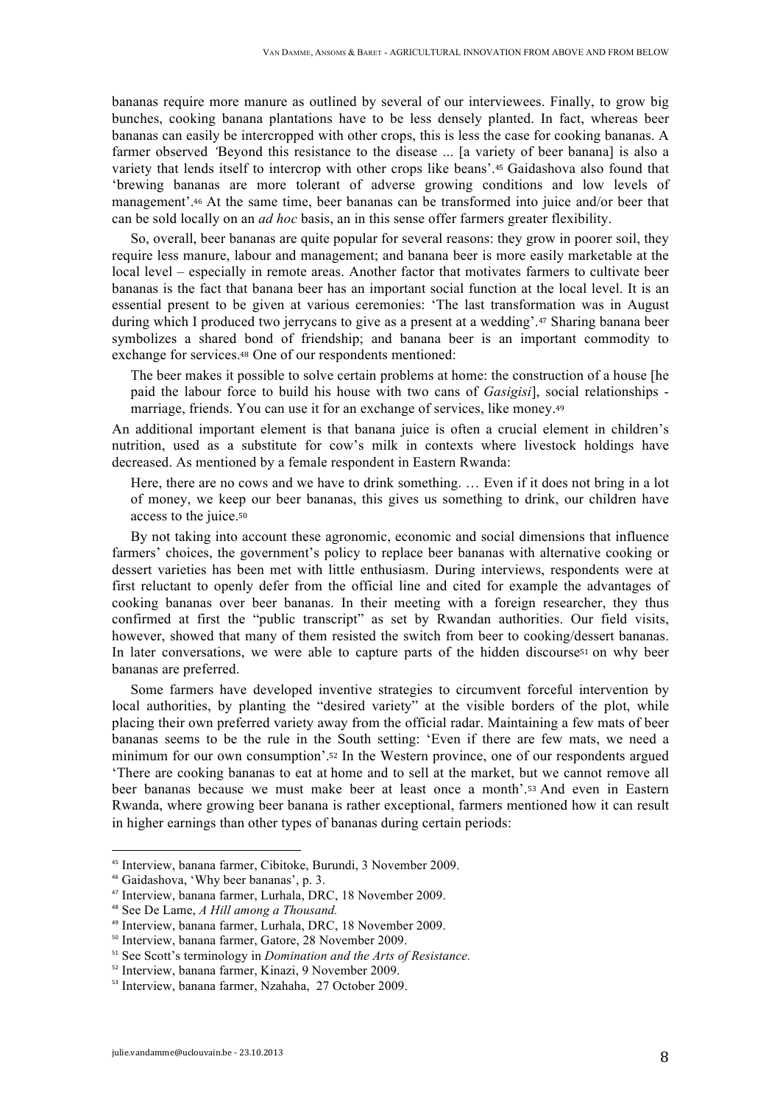bananas require more manure as outlined by several of our interviewees. Finally, to grow big bunches, cooking banana plantations have to be less densely planted. In fact, whereas beer bananas can easily be intercropped with other crops, this is less the case for cooking bananas. A farmer observed *'Beyond this resistance to the disease* ... [a variety of beer banana] is also a variety that lends itself to intercrop with other crops like beans'.<sup>45</sup> Gaidashova also found that 'brewing bananas are more tolerant of adverse growing conditions and low levels of management'.<sup>46</sup> At the same time, beer bananas can be transformed into juice and/or beer that can be sold locally on an *ad hoc* basis, an in this sense offer farmers greater flexibility.

So, overall, beer bananas are quite popular for several reasons; they grow in poorer soil, they require less manure, labour and management; and banana beer is more easily marketable at the local level – especially in remote areas. Another factor that motivates farmers to cultivate beer bananas is the fact that banana beer has an important social function at the local level. It is an essential present to be given at various ceremonies: 'The last transformation was in August during which I produced two jerrycans to give as a present at a wedding'.<sup>47</sup> Sharing banana beer symbolizes a shared bond of friendship; and banana beer is an important commodity to exchange for services.<sup>48</sup> One of our respondents mentioned:

The beer makes it possible to solve certain problems at home: the construction of a house [he paid the labour force to build his house with two cans of *Gasigisi*], social relationships marriage, friends. You can use it for an exchange of services, like money.<sup>49</sup>

An additional important element is that banana juice is often a crucial element in children's nutrition, used as a substitute for cow's milk in contexts where livestock holdings have decreased. As mentioned by a female respondent in Eastern Rwanda:

Here, there are no cows and we have to drink something. … Even if it does not bring in a lot of money, we keep our beer bananas, this gives us something to drink, our children have access to the juice.<sup>50</sup>

By not taking into account these agronomic, economic and social dimensions that influence farmers' choices, the government's policy to replace beer bananas with alternative cooking or dessert varieties has been met with little enthusiasm. During interviews, respondents were at first reluctant to openly defer from the official line and cited for example the advantages of cooking bananas over beer bananas. In their meeting with a foreign researcher, they thus confirmed at first the "public transcript" as set by Rwandan authorities. Our field visits, however, showed that many of them resisted the switch from beer to cooking/dessert bananas. In later conversations, we were able to capture parts of the hidden discourse<sup>51</sup> on why beer bananas are preferred.

Some farmers have developed inventive strategies to circumvent forceful intervention by local authorities, by planting the "desired variety" at the visible borders of the plot, while placing their own preferred variety away from the official radar. Maintaining a few mats of beer bananas seems to be the rule in the South setting: 'Even if there are few mats, we need a minimum for our own consumption'.<sup>52</sup> In the Western province, one of our respondents argued 'There are cooking bananas to eat at home and to sell at the market, but we cannot remove all beer bananas because we must make beer at least once a month'.<sup>53</sup> And even in Eastern Rwanda, where growing beer banana is rather exceptional, farmers mentioned how it can result in higher earnings than other types of bananas during certain periods:

<sup>45</sup> Interview, banana farmer, Cibitoke, Burundi, 3 November 2009.

<sup>46</sup> Gaidashova, 'Why beer bananas', p. 3.

<sup>47</sup> Interview, banana farmer, Lurhala, DRC, 18 November 2009.

<sup>48</sup> See De Lame, *A Hill among a Thousand.*

<sup>49</sup> Interview, banana farmer, Lurhala, DRC, 18 November 2009.

<sup>50</sup> Interview, banana farmer, Gatore, 28 November 2009.

<sup>51</sup> See Scott's terminology in *Domination and the Arts of Resistance.*

<sup>52</sup> Interview, banana farmer, Kinazi, 9 November 2009.

<sup>53</sup> Interview, banana farmer, Nzahaha, 27 October 2009.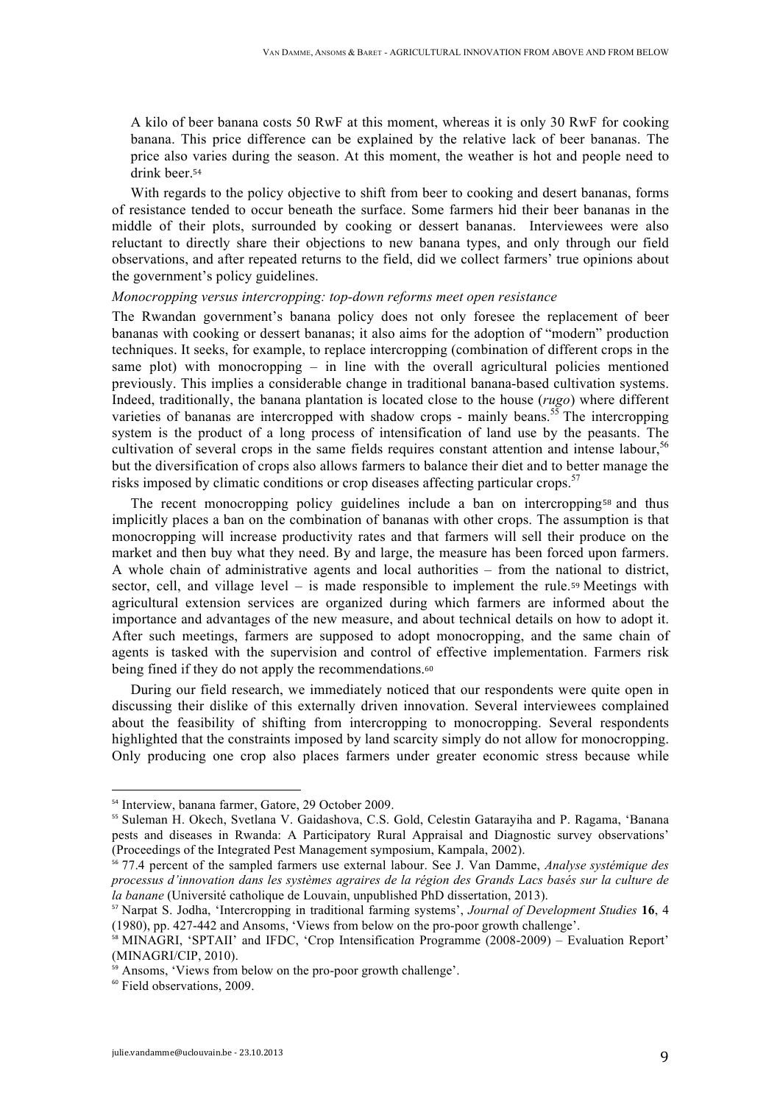A kilo of beer banana costs 50 RwF at this moment, whereas it is only 30 RwF for cooking banana. This price difference can be explained by the relative lack of beer bananas. The price also varies during the season. At this moment, the weather is hot and people need to drink beer.<sup>54</sup>

With regards to the policy objective to shift from beer to cooking and desert bananas, forms of resistance tended to occur beneath the surface. Some farmers hid their beer bananas in the middle of their plots, surrounded by cooking or dessert bananas. Interviewees were also reluctant to directly share their objections to new banana types, and only through our field observations, and after repeated returns to the field, did we collect farmers' true opinions about the government's policy guidelines.

## *Monocropping versus intercropping: top-down reforms meet open resistance*

The Rwandan government's banana policy does not only foresee the replacement of beer bananas with cooking or dessert bananas; it also aims for the adoption of "modern" production techniques. It seeks, for example, to replace intercropping (combination of different crops in the same plot) with monocropping  $-$  in line with the overall agricultural policies mentioned previously. This implies a considerable change in traditional banana-based cultivation systems. Indeed, traditionally, the banana plantation is located close to the house (*rugo*) where different varieties of bananas are intercropped with shadow crops - mainly beans.<sup>55</sup> The intercropping system is the product of a long process of intensification of land use by the peasants. The cultivation of several crops in the same fields requires constant attention and intense labour,<sup>56</sup> but the diversification of crops also allows farmers to balance their diet and to better manage the risks imposed by climatic conditions or crop diseases affecting particular crops.<sup>57</sup>

The recent monocropping policy guidelines include a ban on intercropping<sup>58</sup> and thus implicitly places a ban on the combination of bananas with other crops. The assumption is that monocropping will increase productivity rates and that farmers will sell their produce on the market and then buy what they need. By and large, the measure has been forced upon farmers. A whole chain of administrative agents and local authorities – from the national to district, sector, cell, and village level – is made responsible to implement the rule.<sup>59</sup> Meetings with agricultural extension services are organized during which farmers are informed about the importance and advantages of the new measure, and about technical details on how to adopt it. After such meetings, farmers are supposed to adopt monocropping, and the same chain of agents is tasked with the supervision and control of effective implementation. Farmers risk being fined if they do not apply the recommendations.<sup>60</sup>

During our field research, we immediately noticed that our respondents were quite open in discussing their dislike of this externally driven innovation. Several interviewees complained about the feasibility of shifting from intercropping to monocropping. Several respondents highlighted that the constraints imposed by land scarcity simply do not allow for monocropping. Only producing one crop also places farmers under greater economic stress because while

<sup>&</sup>lt;sup>54</sup> Interview, banana farmer, Gatore, 29 October 2009.

<sup>55</sup> Suleman H. Okech, Svetlana V. Gaidashova, C.S. Gold, Celestin Gatarayiha and P. Ragama, 'Banana pests and diseases in Rwanda: A Participatory Rural Appraisal and Diagnostic survey observations' (Proceedings of the Integrated Pest Management symposium, Kampala, 2002).

<sup>56</sup> 77.4 percent of the sampled farmers use external labour. See J. Van Damme, *Analyse systémique des processus d'innovation dans les systèmes agraires de la région des Grands Lacs basés sur la culture de la banane* (Université catholique de Louvain, unpublished PhD dissertation, 2013).

<sup>57</sup> Narpat S. Jodha, 'Intercropping in traditional farming systems', *Journal of Development Studies* **16**, 4 (1980), pp. 427-442 and Ansoms, 'Views from below on the pro-poor growth challenge'.

 $\frac{58}{10}$  MINAGRI, 'SPTAII' and IFDC, 'Crop Intensification Programme (2008-2009) – Evaluation Report' (MINAGRI/CIP, 2010).

<sup>&</sup>lt;sup>59</sup> Ansoms, 'Views from below on the pro-poor growth challenge'.

<sup>60</sup> Field observations, 2009.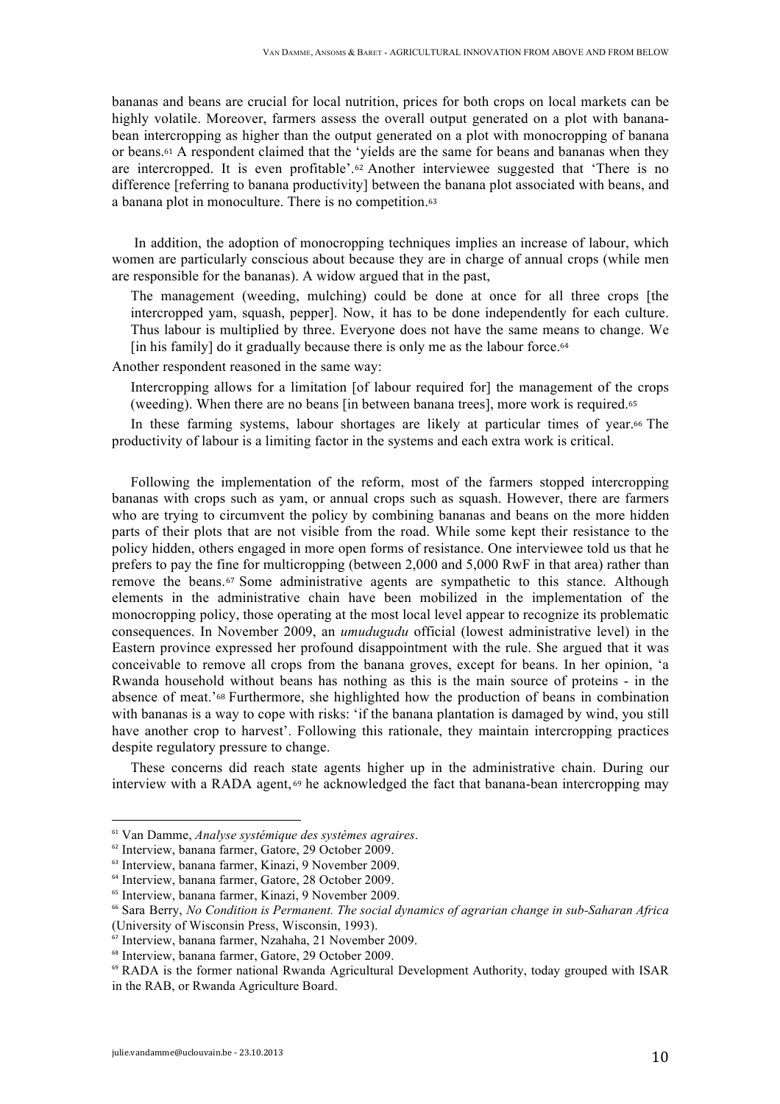bananas and beans are crucial for local nutrition, prices for both crops on local markets can be highly volatile. Moreover, farmers assess the overall output generated on a plot with bananabean intercropping as higher than the output generated on a plot with monocropping of banana or beans.<sup>61</sup> A respondent claimed that the 'yields are the same for beans and bananas when they are intercropped. It is even profitable'.<sup>62</sup> Another interviewee suggested that 'There is no difference [referring to banana productivity] between the banana plot associated with beans, and a banana plot in monoculture. There is no competition.<sup>63</sup>

In addition, the adoption of monocropping techniques implies an increase of labour, which women are particularly conscious about because they are in charge of annual crops (while men are responsible for the bananas). A widow argued that in the past,

The management (weeding, mulching) could be done at once for all three crops [the intercropped yam, squash, pepper]. Now, it has to be done independently for each culture. Thus labour is multiplied by three. Everyone does not have the same means to change. We [in his family] do it gradually because there is only me as the labour force.<sup>64</sup>

Another respondent reasoned in the same way:

Intercropping allows for a limitation [of labour required for] the management of the crops (weeding). When there are no beans [in between banana trees], more work is required.<sup>65</sup>

In these farming systems, labour shortages are likely at particular times of year.<sup>66</sup> The productivity of labour is a limiting factor in the systems and each extra work is critical.

Following the implementation of the reform, most of the farmers stopped intercropping bananas with crops such as yam, or annual crops such as squash. However, there are farmers who are trying to circumvent the policy by combining bananas and beans on the more hidden parts of their plots that are not visible from the road. While some kept their resistance to the policy hidden, others engaged in more open forms of resistance. One interviewee told us that he prefers to pay the fine for multicropping (between 2,000 and 5,000 RwF in that area) rather than remove the beans.<sup>67</sup> Some administrative agents are sympathetic to this stance. Although elements in the administrative chain have been mobilized in the implementation of the monocropping policy, those operating at the most local level appear to recognize its problematic consequences. In November 2009, an *umudugudu* official (lowest administrative level) in the Eastern province expressed her profound disappointment with the rule. She argued that it was conceivable to remove all crops from the banana groves, except for beans. In her opinion, 'a Rwanda household without beans has nothing as this is the main source of proteins - in the absence of meat.'<sup>68</sup> Furthermore, she highlighted how the production of beans in combination with bananas is a way to cope with risks: 'if the banana plantation is damaged by wind, you still have another crop to harvest'. Following this rationale, they maintain intercropping practices despite regulatory pressure to change.

These concerns did reach state agents higher up in the administrative chain. During our interview with a RADA agent, <sup>69</sup> he acknowledged the fact that banana-bean intercropping may

<sup>61</sup> Van Damme, *Analyse systémique des systèmes agraires*.

<sup>62</sup> Interview, banana farmer, Gatore, 29 October 2009.

<sup>63</sup> Interview, banana farmer, Kinazi, 9 November 2009.

<sup>64</sup> Interview, banana farmer, Gatore, 28 October 2009.

<sup>&</sup>lt;sup>65</sup> Interview, banana farmer, Kinazi, 9 November 2009.

<sup>66</sup> Sara Berry, *No Condition is Permanent. The social dynamics of agrarian change in sub-Saharan Africa*  (University of Wisconsin Press, Wisconsin, 1993).

 $\frac{67}{10}$  Interview, banana farmer, Nzahaha, 21 November 2009.

<sup>68</sup> Interview, banana farmer, Gatore, 29 October 2009.

<sup>69</sup> RADA is the former national Rwanda Agricultural Development Authority, today grouped with ISAR in the RAB, or Rwanda Agriculture Board.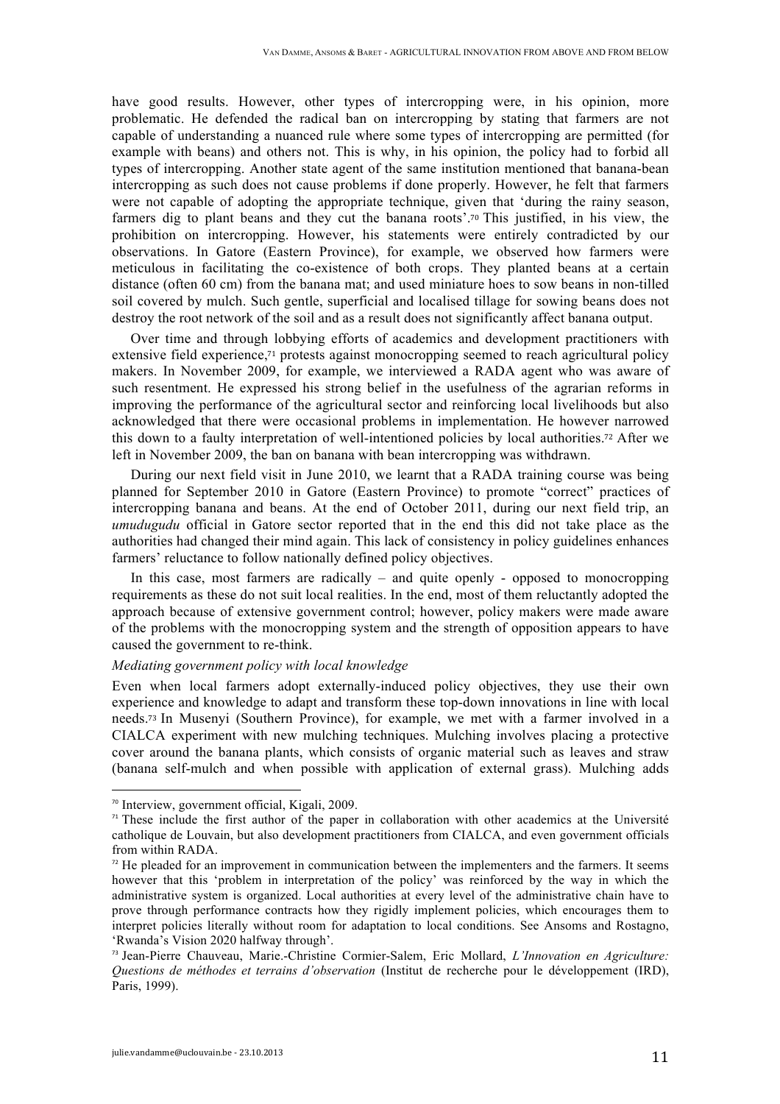have good results. However, other types of intercropping were, in his opinion, more problematic. He defended the radical ban on intercropping by stating that farmers are not capable of understanding a nuanced rule where some types of intercropping are permitted (for example with beans) and others not. This is why, in his opinion, the policy had to forbid all types of intercropping. Another state agent of the same institution mentioned that banana-bean intercropping as such does not cause problems if done properly. However, he felt that farmers were not capable of adopting the appropriate technique, given that 'during the rainy season, farmers dig to plant beans and they cut the banana roots'.<sup>70</sup> This justified, in his view, the prohibition on intercropping. However, his statements were entirely contradicted by our observations. In Gatore (Eastern Province), for example, we observed how farmers were meticulous in facilitating the co-existence of both crops. They planted beans at a certain distance (often 60 cm) from the banana mat; and used miniature hoes to sow beans in non-tilled soil covered by mulch. Such gentle, superficial and localised tillage for sowing beans does not destroy the root network of the soil and as a result does not significantly affect banana output.

Over time and through lobbying efforts of academics and development practitioners with extensive field experience,<sup>71</sup> protests against monocropping seemed to reach agricultural policy makers. In November 2009, for example, we interviewed a RADA agent who was aware of such resentment. He expressed his strong belief in the usefulness of the agrarian reforms in improving the performance of the agricultural sector and reinforcing local livelihoods but also acknowledged that there were occasional problems in implementation. He however narrowed this down to a faulty interpretation of well-intentioned policies by local authorities.<sup>72</sup> After we left in November 2009, the ban on banana with bean intercropping was withdrawn.

During our next field visit in June 2010, we learnt that a RADA training course was being planned for September 2010 in Gatore (Eastern Province) to promote "correct" practices of intercropping banana and beans. At the end of October 2011, during our next field trip, an *umudugudu* official in Gatore sector reported that in the end this did not take place as the authorities had changed their mind again. This lack of consistency in policy guidelines enhances farmers' reluctance to follow nationally defined policy objectives.

In this case, most farmers are radically – and quite openly - opposed to monocropping requirements as these do not suit local realities. In the end, most of them reluctantly adopted the approach because of extensive government control; however, policy makers were made aware of the problems with the monocropping system and the strength of opposition appears to have caused the government to re-think.

### *Mediating government policy with local knowledge*

Even when local farmers adopt externally-induced policy objectives, they use their own experience and knowledge to adapt and transform these top-down innovations in line with local needs.<sup>73</sup> In Musenyi (Southern Province), for example, we met with a farmer involved in a CIALCA experiment with new mulching techniques. Mulching involves placing a protective cover around the banana plants, which consists of organic material such as leaves and straw (banana self-mulch and when possible with application of external grass). Mulching adds

<sup>70</sup> Interview, government official, Kigali, 2009.

 $<sup>71</sup>$  These include the first author of the paper in collaboration with other academics at the Université</sup> catholique de Louvain, but also development practitioners from CIALCA, and even government officials from within RADA.

 $<sup>72</sup>$  He pleaded for an improvement in communication between the implementers and the farmers. It seems</sup> however that this 'problem in interpretation of the policy' was reinforced by the way in which the administrative system is organized. Local authorities at every level of the administrative chain have to prove through performance contracts how they rigidly implement policies, which encourages them to interpret policies literally without room for adaptation to local conditions. See Ansoms and Rostagno, 'Rwanda's Vision 2020 halfway through'.

<sup>73</sup> Jean-Pierre Chauveau, Marie.-Christine Cormier-Salem, Eric Mollard, *L'Innovation en Agriculture: Questions de méthodes et terrains d'observation* (Institut de recherche pour le développement (IRD), Paris, 1999).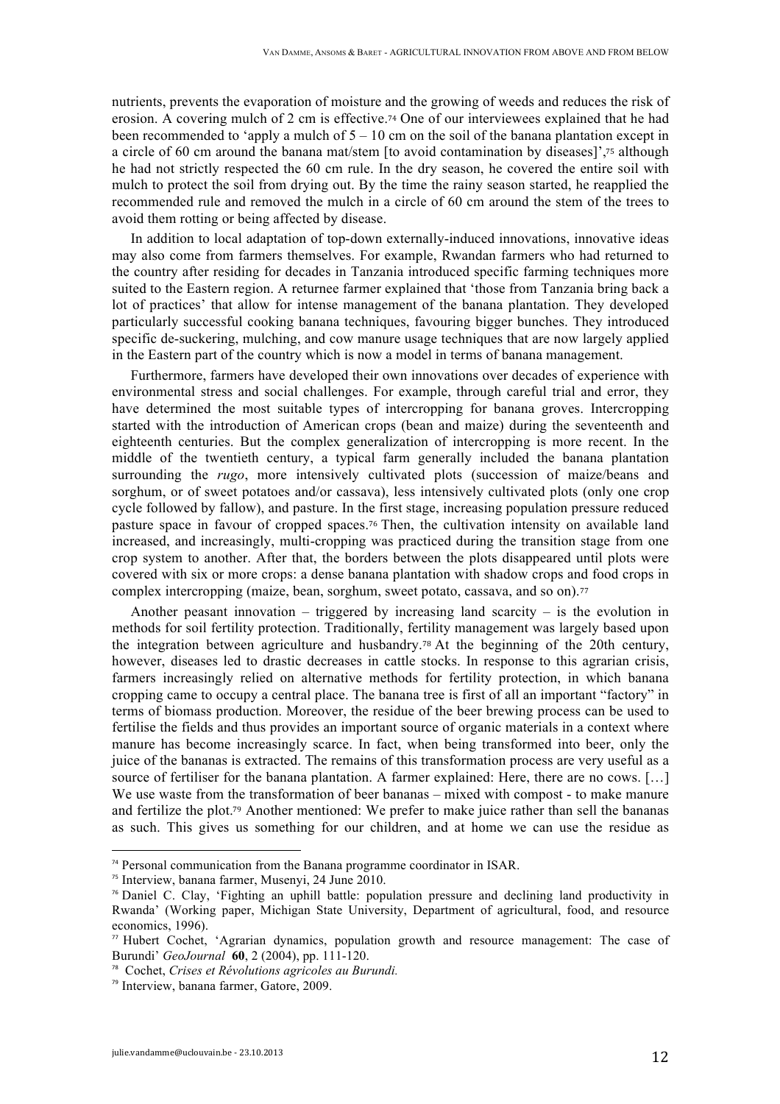nutrients, prevents the evaporation of moisture and the growing of weeds and reduces the risk of erosion. A covering mulch of 2 cm is effective.<sup>74</sup> One of our interviewees explained that he had been recommended to 'apply a mulch of  $5 - 10$  cm on the soil of the banana plantation except in a circle of 60 cm around the banana mat/stem [to avoid contamination by diseases]',<sup>75</sup> although he had not strictly respected the 60 cm rule. In the dry season, he covered the entire soil with mulch to protect the soil from drying out. By the time the rainy season started, he reapplied the recommended rule and removed the mulch in a circle of 60 cm around the stem of the trees to avoid them rotting or being affected by disease.

In addition to local adaptation of top-down externally-induced innovations, innovative ideas may also come from farmers themselves. For example, Rwandan farmers who had returned to the country after residing for decades in Tanzania introduced specific farming techniques more suited to the Eastern region. A returnee farmer explained that 'those from Tanzania bring back a lot of practices' that allow for intense management of the banana plantation. They developed particularly successful cooking banana techniques, favouring bigger bunches. They introduced specific de-suckering, mulching, and cow manure usage techniques that are now largely applied in the Eastern part of the country which is now a model in terms of banana management.

Furthermore, farmers have developed their own innovations over decades of experience with environmental stress and social challenges. For example, through careful trial and error, they have determined the most suitable types of intercropping for banana groves. Intercropping started with the introduction of American crops (bean and maize) during the seventeenth and eighteenth centuries. But the complex generalization of intercropping is more recent. In the middle of the twentieth century, a typical farm generally included the banana plantation surrounding the *rugo*, more intensively cultivated plots (succession of maize/beans and sorghum, or of sweet potatoes and/or cassava), less intensively cultivated plots (only one crop cycle followed by fallow), and pasture. In the first stage, increasing population pressure reduced pasture space in favour of cropped spaces.<sup>76</sup> Then, the cultivation intensity on available land increased, and increasingly, multi-cropping was practiced during the transition stage from one crop system to another. After that, the borders between the plots disappeared until plots were covered with six or more crops: a dense banana plantation with shadow crops and food crops in complex intercropping (maize, bean, sorghum, sweet potato, cassava, and so on).<sup>77</sup>

Another peasant innovation – triggered by increasing land scarcity – is the evolution in methods for soil fertility protection. Traditionally, fertility management was largely based upon the integration between agriculture and husbandry.<sup>78</sup> At the beginning of the 20th century, however, diseases led to drastic decreases in cattle stocks. In response to this agrarian crisis, farmers increasingly relied on alternative methods for fertility protection, in which banana cropping came to occupy a central place. The banana tree is first of all an important "factory" in terms of biomass production. Moreover, the residue of the beer brewing process can be used to fertilise the fields and thus provides an important source of organic materials in a context where manure has become increasingly scarce. In fact, when being transformed into beer, only the juice of the bananas is extracted. The remains of this transformation process are very useful as a source of fertiliser for the banana plantation. A farmer explained: Here, there are no cows. [...] We use waste from the transformation of beer bananas – mixed with compost - to make manure and fertilize the plot.<sup>79</sup> Another mentioned: We prefer to make juice rather than sell the bananas as such. This gives us something for our children, and at home we can use the residue as

<sup>&</sup>lt;sup>74</sup> Personal communication from the Banana programme coordinator in ISAR.

<sup>75</sup> Interview, banana farmer, Musenyi, 24 June 2010.

<sup>76</sup> Daniel C. Clay, 'Fighting an uphill battle: population pressure and declining land productivity in Rwanda' (Working paper, Michigan State University, Department of agricultural, food, and resource economics, 1996).

<sup>77</sup> Hubert Cochet, 'Agrarian dynamics, population growth and resource management: The case of Burundi' *GeoJournal* **60**, 2 (2004), pp. 111-120.

<sup>78</sup> Cochet, *Crises et Révolutions agricoles au Burundi.*

<sup>79</sup> Interview, banana farmer, Gatore, 2009.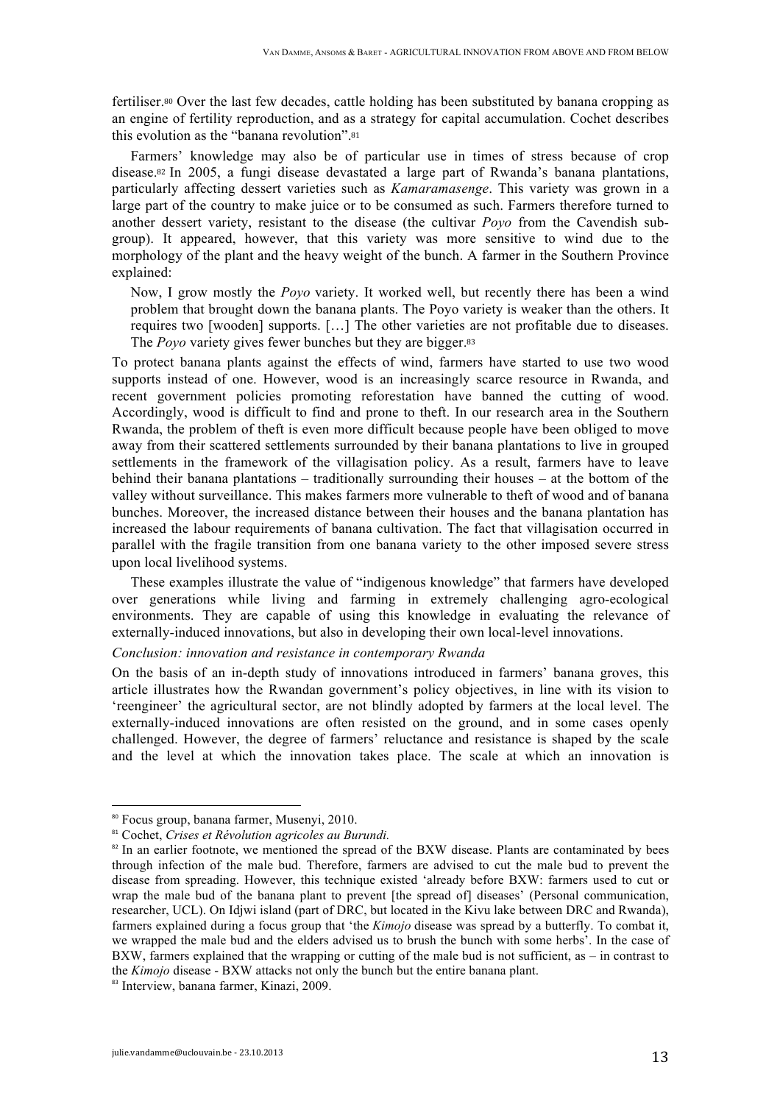fertiliser.<sup>80</sup> Over the last few decades, cattle holding has been substituted by banana cropping as an engine of fertility reproduction, and as a strategy for capital accumulation. Cochet describes this evolution as the "banana revolution".<sup>81</sup>

Farmers' knowledge may also be of particular use in times of stress because of crop disease.<sup>82</sup> In 2005, a fungi disease devastated a large part of Rwanda's banana plantations, particularly affecting dessert varieties such as *Kamaramasenge*. This variety was grown in a large part of the country to make juice or to be consumed as such. Farmers therefore turned to another dessert variety, resistant to the disease (the cultivar *Poyo* from the Cavendish subgroup). It appeared, however, that this variety was more sensitive to wind due to the morphology of the plant and the heavy weight of the bunch. A farmer in the Southern Province explained:

Now, I grow mostly the *Poyo* variety. It worked well, but recently there has been a wind problem that brought down the banana plants. The Poyo variety is weaker than the others. It requires two [wooden] supports. […] The other varieties are not profitable due to diseases. The *Poyo* variety gives fewer bunches but they are bigger.<sup>83</sup>

To protect banana plants against the effects of wind, farmers have started to use two wood supports instead of one. However, wood is an increasingly scarce resource in Rwanda, and recent government policies promoting reforestation have banned the cutting of wood. Accordingly, wood is difficult to find and prone to theft. In our research area in the Southern Rwanda, the problem of theft is even more difficult because people have been obliged to move away from their scattered settlements surrounded by their banana plantations to live in grouped settlements in the framework of the villagisation policy. As a result, farmers have to leave behind their banana plantations – traditionally surrounding their houses – at the bottom of the valley without surveillance. This makes farmers more vulnerable to theft of wood and of banana bunches. Moreover, the increased distance between their houses and the banana plantation has increased the labour requirements of banana cultivation. The fact that villagisation occurred in parallel with the fragile transition from one banana variety to the other imposed severe stress upon local livelihood systems.

These examples illustrate the value of "indigenous knowledge" that farmers have developed over generations while living and farming in extremely challenging agro-ecological environments. They are capable of using this knowledge in evaluating the relevance of externally-induced innovations, but also in developing their own local-level innovations.

#### *Conclusion: innovation and resistance in contemporary Rwanda*

On the basis of an in-depth study of innovations introduced in farmers' banana groves, this article illustrates how the Rwandan government's policy objectives, in line with its vision to 'reengineer' the agricultural sector, are not blindly adopted by farmers at the local level. The externally-induced innovations are often resisted on the ground, and in some cases openly challenged. However, the degree of farmers' reluctance and resistance is shaped by the scale and the level at which the innovation takes place. The scale at which an innovation is

<sup>80</sup> Focus group, banana farmer, Musenyi, 2010.

<sup>81</sup> Cochet, *Crises et Révolution agricoles au Burundi.*

<sup>&</sup>lt;sup>82</sup> In an earlier footnote, we mentioned the spread of the BXW disease. Plants are contaminated by bees through infection of the male bud. Therefore, farmers are advised to cut the male bud to prevent the disease from spreading. However, this technique existed 'already before BXW: farmers used to cut or wrap the male bud of the banana plant to prevent [the spread of] diseases' (Personal communication, researcher, UCL). On Idjwi island (part of DRC, but located in the Kivu lake between DRC and Rwanda), farmers explained during a focus group that 'the *Kimojo* disease was spread by a butterfly. To combat it, we wrapped the male bud and the elders advised us to brush the bunch with some herbs'. In the case of BXW, farmers explained that the wrapping or cutting of the male bud is not sufficient, as – in contrast to the *Kimojo* disease - BXW attacks not only the bunch but the entire banana plant.

<sup>&</sup>lt;sup>83</sup> Interview, banana farmer, Kinazi, 2009.